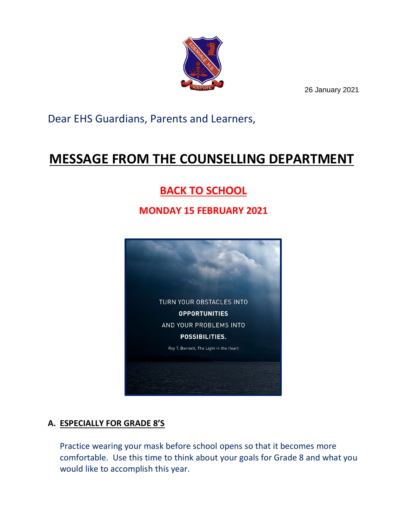

26 January 2021

Dear EHS Guardians, Parents and Learners,

# **MESSAGE FROM THE COUNSELLING DEPARTMENT**

## **BACK TO SCHOOL**

### **MONDAY 15 FEBRUARY 2021**



#### **A. ESPECIALLY FOR GRADE 8'S**

Practice wearing your mask before school opens so that it becomes more comfortable. Use this time to think about your goals for Grade 8 and what you would like to accomplish this year.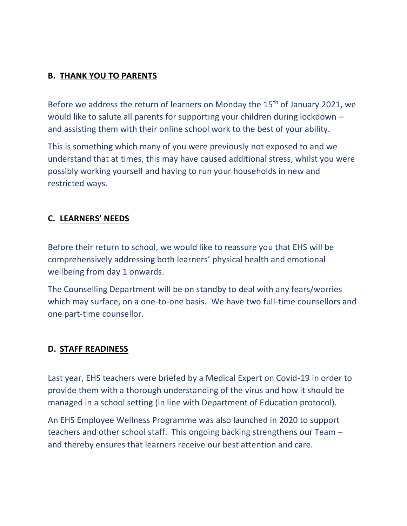#### **B. THANK YOU TO PARENTS**

Before we address the return of learners on Monday the 15<sup>th</sup> of January 2021, we would like to salute all parents for supporting your children during lockdown – and assisting them with their online school work to the best of your ability.

This is something which many of you were previously not exposed to and we understand that at times, this may have caused additional stress, whilst you were possibly working yourself and having to run your households in new and restricted ways.

#### **C. LEARNERS' NEEDS**

Before their return to school, we would like to reassure you that EHS will be comprehensively addressing both learners' physical health and emotional wellbeing from day 1 onwards.

The Counselling Department will be on standby to deal with any fears/worries which may surface, on a one-to-one basis. We have two full-time counsellors and one part-time counsellor.

#### **D. STAFF READINESS**

Last year, EHS teachers were briefed by a Medical Expert on Covid-19 in order to provide them with a thorough understanding of the virus and how it should be managed in a school setting (in line with Department of Education protocol).

An EHS Employee Wellness Programme was also launched in 2020 to support teachers and other school staff. This ongoing backing strengthens our Team – and thereby ensures that learners receive our best attention and care.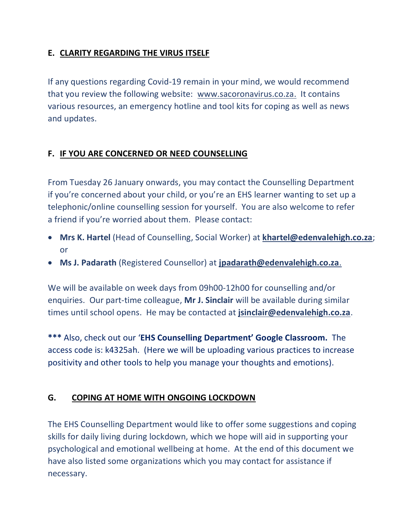#### **E. CLARITY REGARDING THE VIRUS ITSELF**

If any questions regarding Covid-19 remain in your mind, we would recommend that you review the following website: [www.sacoronavirus.co.za.](http://www.sacoronavirus.co.za/) It contains various resources, an emergency hotline and tool kits for coping as well as news and updates.

#### **F. IF YOU ARE CONCERNED OR NEED COUNSELLING**

From Tuesday 26 January onwards, you may contact the Counselling Department if you're concerned about your child, or you're an EHS learner wanting to set up a telephonic/online counselling session for yourself. You are also welcome to refer a friend if you're worried about them. Please contact:

- **Mrs K. Hartel** (Head of Counselling, Social Worker) at **[khartel@edenvalehigh.co.za](mailto:khartel@edenvalehigh.co.za)**; or
- **Ms J. Padarath** (Registered Counsellor) at **[jpadarath@edenvalehigh.co.za](mailto:jpadarath@edenvalehigh.co.za)**.

We will be available on week days from 09h00-12h00 for counselling and/or enquiries. Our part-time colleague, **Mr J. Sinclair** will be available during similar times until school opens. He may be contacted at **[jsinclair@edenvalehigh.co.za](mailto:jsinclair@edenvalehigh.co.za)**.

**\*\*\*** Also, check out our '**EHS Counselling Department' Google Classroom.** The access code is: k4325ah. (Here we will be uploading various practices to increase positivity and other tools to help you manage your thoughts and emotions).

#### **G. COPING AT HOME WITH ONGOING LOCKDOWN**

The EHS Counselling Department would like to offer some suggestions and coping skills for daily living during lockdown, which we hope will aid in supporting your psychological and emotional wellbeing at home. At the end of this document we have also listed some organizations which you may contact for assistance if necessary.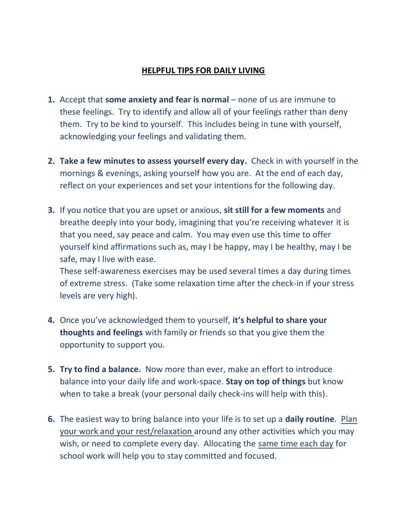#### **HELPFUL TIPS FOR DAILY LIVING**

- **1.** Accept that **some anxiety and fear is normal** none of us are immune to these feelings. Try to identify and allow all of your feelings rather than deny them. Try to be kind to yourself. This includes being in tune with yourself, acknowledging your feelings and validating them.
- **2. Take a few minutes to assess yourself every day.** Check in with yourself in the mornings & evenings, asking yourself how you are. At the end of each day, reflect on your experiences and set your intentions for the following day.
- **3.** If you notice that you are upset or anxious, **sit still for a few moments** and breathe deeply into your body, imagining that you're receiving whatever it is that you need, say peace and calm. You may even use this time to offer yourself kind affirmations such as, may I be happy, may I be healthy, may I be safe, may I live with ease.

These self-awareness exercises may be used several times a day during times of extreme stress. (Take some relaxation time after the check-in if your stress levels are very high).

- **4.** Once you've acknowledged them to yourself, **it's helpful to share your thoughts and feelings** with family or friends so that you give them the opportunity to support you.
- **5. Try to find a balance.** Now more than ever, make an effort to introduce balance into your daily life and work-space. **Stay on top of things** but know when to take a break (your personal daily check-ins will help with this).
- **6.** The easiest way to bring balance into your life is to set up a **daily routine**. Plan your work and your rest/relaxation around any other activities which you may wish, or need to complete every day. Allocating the same time each day for school work will help you to stay committed and focused.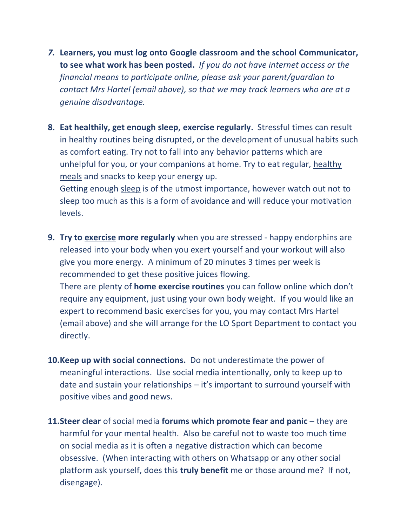- *7.* **Learners, you must log onto Google classroom and the school Communicator, to see what work has been posted.** *If you do not have internet access or the financial means to participate online, please ask your parent/guardian to contact Mrs Hartel (email above), so that we may track learners who are at a genuine disadvantage.*
- **8. Eat healthily, get enough sleep, exercise regularly.** Stressful times can result in healthy routines being disrupted, or the development of unusual habits such as comfort eating. Try not to fall into any behavior patterns which are unhelpful for you, or your companions at home. Try to eat regular, healthy meals and snacks to keep your energy up.

Getting enough sleep is of the utmost importance, however watch out not to sleep too much as this is a form of avoidance and will reduce your motivation levels.

**9. Try to exercise more regularly** when you are stressed - happy endorphins are released into your body when you exert yourself and your workout will also give you more energy. A minimum of 20 minutes 3 times per week is recommended to get these positive juices flowing.

There are plenty of **home exercise routines** you can follow online which don't require any equipment, just using your own body weight. If you would like an expert to recommend basic exercises for you, you may contact Mrs Hartel (email above) and she will arrange for the LO Sport Department to contact you directly.

- **10.Keep up with social connections.** Do not underestimate the power of meaningful interactions. Use social media intentionally, only to keep up to date and sustain your relationships – it's important to surround yourself with positive vibes and good news.
- **11.Steer clear** of social media **forums which promote fear and panic** they are harmful for your mental health. Also be careful not to waste too much time on social media as it is often a negative distraction which can become obsessive. (When interacting with others on Whatsapp or any other social platform ask yourself, does this **truly benefit** me or those around me? If not, disengage).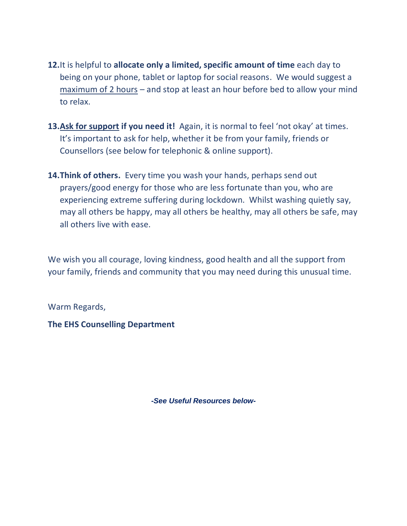- **12.**It is helpful to **allocate only a limited, specific amount of time** each day to being on your phone, tablet or laptop for social reasons. We would suggest a maximum of 2 hours – and stop at least an hour before bed to allow your mind to relax.
- **13.Ask for support if you need it!** Again, it is normal to feel 'not okay' at times. It's important to ask for help, whether it be from your family, friends or Counsellors (see below for telephonic & online support).
- **14.Think of others.** Every time you wash your hands, perhaps send out prayers/good energy for those who are less fortunate than you, who are experiencing extreme suffering during lockdown. Whilst washing quietly say, may all others be happy, may all others be healthy, may all others be safe, may all others live with ease.

We wish you all courage, loving kindness, good health and all the support from your family, friends and community that you may need during this unusual time.

Warm Regards,

**The EHS Counselling Department**

*-See Useful Resources below-*